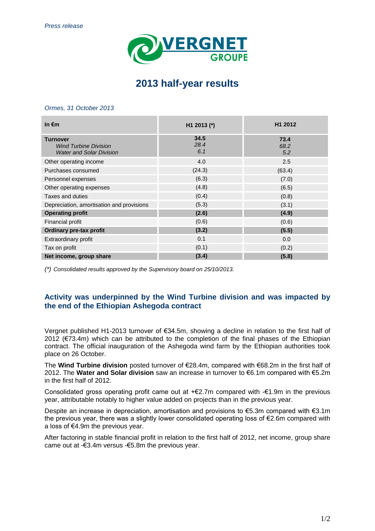

# **2013 half-year results**

#### *Ormes, 31 October 2013*

| In $\epsilon$ m                                                                    | H1 2013 (*)         | H1 2012             |
|------------------------------------------------------------------------------------|---------------------|---------------------|
| <b>Turnover</b><br><b>Wind Turbine Division</b><br><b>Water and Solar Division</b> | 34.5<br>28.4<br>6.1 | 73.4<br>68.2<br>5.2 |
| Other operating income                                                             | 4.0                 | 2.5                 |
| Purchases consumed                                                                 | (24.3)              | (63.4)              |
| Personnel expenses                                                                 | (6.3)               | (7.0)               |
| Other operating expenses                                                           | (4.8)               | (6.5)               |
| Taxes and duties                                                                   | (0.4)               | (0.8)               |
| Depreciation, amortisation and provisions                                          | (5.3)               | (3.1)               |
| <b>Operating profit</b>                                                            | (2.6)               | (4.9)               |
| Financial profit                                                                   | (0.6)               | (0.6)               |
| Ordinary pre-tax profit                                                            | (3.2)               | (5.5)               |
| Extraordinary profit                                                               | 0.1                 | 0.0                 |
| Tax on profit                                                                      | (0.1)               | (0.2)               |
| Net income, group share                                                            | (3.4)               | (5.8)               |

*(\*) Consolidated results approved by the Supervisory board on 25/10/2013.*

# **Activity was underpinned by the Wind Turbine division and was impacted by the end of the Ethiopian Ashegoda contract**

Vergnet published H1-2013 turnover of €34.5m, showing a decline in relation to the first half of 2012 ( $\epsilon$ 73.4m) which can be attributed to the completion of the final phases of the Ethiopian contract. The official inauguration of the Ashegoda wind farm by the Ethiopian authorities took place on 26 October.

The **Wind Turbine division** posted turnover of €28.4m, compared with €68.2m in the first half of 2012. The **Water and Solar division** saw an increase in turnover to €6.1m compared with €5.2m in the first half of 2012.

Consolidated gross operating profit came out at +€2.7m compared with -€1.9m in the previous year, attributable notably to higher value added on projects than in the previous year.

Despite an increase in depreciation, amortisation and provisions to €5.3m compared with €3.1m the previous year, there was a slightly lower consolidated operating loss of €2.6m compared with a loss of €4.9m the previous year.

After factoring in stable financial profit in relation to the first half of 2012, net income, group share came out at -€3.4m versus -€5.8m the previous year.